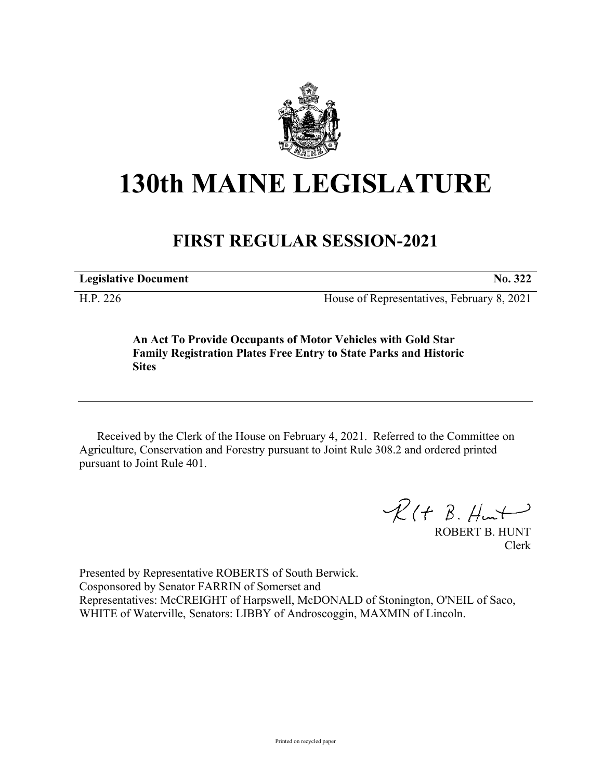

## **130th MAINE LEGISLATURE**

## **FIRST REGULAR SESSION-2021**

**Legislative Document No. 322**

H.P. 226 House of Representatives, February 8, 2021

**An Act To Provide Occupants of Motor Vehicles with Gold Star Family Registration Plates Free Entry to State Parks and Historic Sites**

Received by the Clerk of the House on February 4, 2021. Referred to the Committee on Agriculture, Conservation and Forestry pursuant to Joint Rule 308.2 and ordered printed pursuant to Joint Rule 401.

 $R$ (†  $B.$  Hunt

ROBERT B. HUNT Clerk

Presented by Representative ROBERTS of South Berwick. Cosponsored by Senator FARRIN of Somerset and Representatives: McCREIGHT of Harpswell, McDONALD of Stonington, O'NEIL of Saco, WHITE of Waterville, Senators: LIBBY of Androscoggin, MAXMIN of Lincoln.